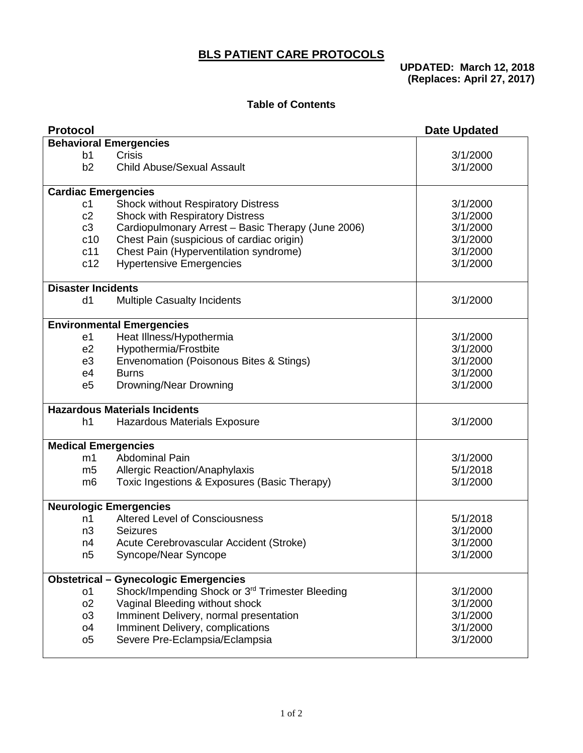## **BLS PATIENT CARE PROTOCOLS**

**UPDATED: March 12, 2018 (Replaces: April 27, 2017)**

## **Table of Contents**

| <b>Protocol</b>            |                                                    | <b>Date Updated</b>  |
|----------------------------|----------------------------------------------------|----------------------|
|                            | <b>Behavioral Emergencies</b>                      |                      |
| b1<br>b2                   | <b>Crisis</b><br><b>Child Abuse/Sexual Assault</b> | 3/1/2000<br>3/1/2000 |
| <b>Cardiac Emergencies</b> |                                                    |                      |
| c <sub>1</sub>             | <b>Shock without Respiratory Distress</b>          | 3/1/2000             |
| c2                         | Shock with Respiratory Distress                    | 3/1/2000             |
| c3                         | Cardiopulmonary Arrest - Basic Therapy (June 2006) | 3/1/2000             |
| c10                        | Chest Pain (suspicious of cardiac origin)          | 3/1/2000             |
| c11                        | Chest Pain (Hyperventilation syndrome)             | 3/1/2000             |
| c12                        | <b>Hypertensive Emergencies</b>                    | 3/1/2000             |
| <b>Disaster Incidents</b>  |                                                    |                      |
| d1                         | <b>Multiple Casualty Incidents</b>                 | 3/1/2000             |
|                            | <b>Environmental Emergencies</b>                   |                      |
| e1                         | Heat Illness/Hypothermia                           | 3/1/2000             |
| e2                         | Hypothermia/Frostbite                              | 3/1/2000             |
| e3                         | Envenomation (Poisonous Bites & Stings)            | 3/1/2000             |
| e4                         | <b>Burns</b>                                       | 3/1/2000             |
| e <sub>5</sub>             | Drowning/Near Drowning                             | 3/1/2000             |
|                            | <b>Hazardous Materials Incidents</b>               |                      |
| h1                         | <b>Hazardous Materials Exposure</b>                | 3/1/2000             |
| <b>Medical Emergencies</b> |                                                    |                      |
| m1                         | <b>Abdominal Pain</b>                              | 3/1/2000             |
| m5                         | Allergic Reaction/Anaphylaxis                      | 5/1/2018             |
| m <sub>6</sub>             | Toxic Ingestions & Exposures (Basic Therapy)       | 3/1/2000             |
|                            | <b>Neurologic Emergencies</b>                      |                      |
| n1                         | <b>Altered Level of Consciousness</b>              | 5/1/2018             |
| n3                         | <b>Seizures</b>                                    | 3/1/2000             |
| n4                         | Acute Cerebrovascular Accident (Stroke)            | 3/1/2000             |
| n <sub>5</sub>             | Syncope/Near Syncope                               | 3/1/2000             |
|                            | <b>Obstetrical - Gynecologic Emergencies</b>       |                      |
| o1                         | Shock/Impending Shock or 3rd Trimester Bleeding    | 3/1/2000             |
| O <sub>2</sub>             | Vaginal Bleeding without shock                     | 3/1/2000             |
| o <sub>3</sub>             | Imminent Delivery, normal presentation             | 3/1/2000             |
| <sub>0</sub> 4             | Imminent Delivery, complications                   | 3/1/2000             |
| o <sub>5</sub>             | Severe Pre-Eclampsia/Eclampsia                     | 3/1/2000             |
|                            |                                                    |                      |